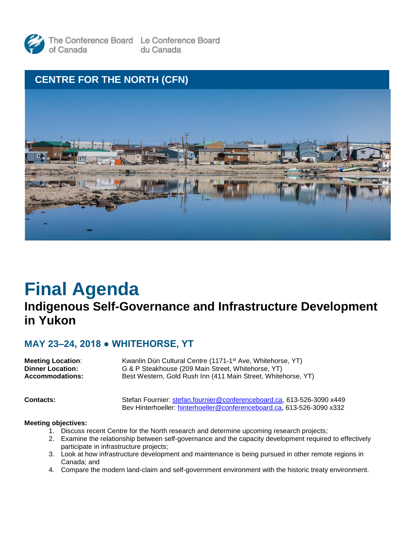



# **Final Agenda**

# **Indigenous Self-Governance and Infrastructure Development in Yukon**

### **MAY 23–24, 2018 ● WHITEHORSE, YT**

| <b>Meeting Location:</b> | Kwanlin Dün Cultural Centre (1171-1 <sup>st</sup> Ave, Whitehorse, YT) |
|--------------------------|------------------------------------------------------------------------|
| <b>Dinner Location:</b>  | G & P Steakhouse (209 Main Street, Whitehorse, YT)                     |
| Accommodations:          | Best Western, Gold Rush Inn (411 Main Street, Whitehorse, YT)          |
|                          |                                                                        |

**Contacts:** Stefan Fournier: [stefan.fournier@conferenceboard.ca,](file://///SERVER2/PBS/VP) 613-526-3090 x449 Bev Hinterhoeller: [hinterhoeller@conferenceboard.ca,](file://///SERVER2/PBS/VP) 613-526-3090 x332

#### **Meeting objectives:**

- 1. Discuss recent Centre for the North research and determine upcoming research projects;
- 2. Examine the relationship between self-governance and the capacity development required to effectively participate in infrastructure projects;
- 3. Look at how infrastructure development and maintenance is being pursued in other remote regions in Canada; and
- 4. Compare the modern land-claim and self-government environment with the historic treaty environment.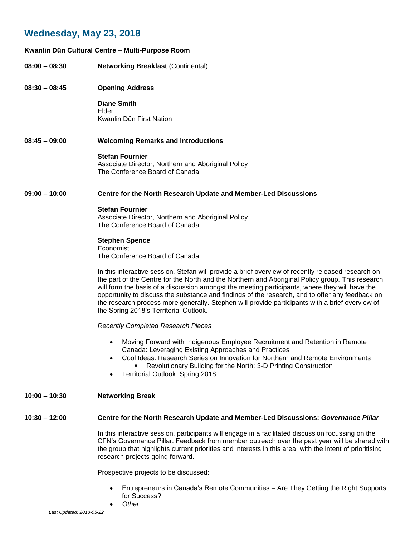## **Wednesday, May 23, 2018**

#### **Kwanlin Dün Cultural Centre – Multi-Purpose Room**

| $08:00 - 08:30$ | <b>Networking Breakfast (Continental)</b>                                                                                                                                                                                                                                                                                                                                                                                                                                                                                                                |
|-----------------|----------------------------------------------------------------------------------------------------------------------------------------------------------------------------------------------------------------------------------------------------------------------------------------------------------------------------------------------------------------------------------------------------------------------------------------------------------------------------------------------------------------------------------------------------------|
| $08:30 - 08:45$ | <b>Opening Address</b>                                                                                                                                                                                                                                                                                                                                                                                                                                                                                                                                   |
|                 | <b>Diane Smith</b><br>Elder<br>Kwanlin Dün First Nation                                                                                                                                                                                                                                                                                                                                                                                                                                                                                                  |
| $08:45 - 09:00$ | <b>Welcoming Remarks and Introductions</b>                                                                                                                                                                                                                                                                                                                                                                                                                                                                                                               |
|                 | <b>Stefan Fournier</b><br>Associate Director, Northern and Aboriginal Policy<br>The Conference Board of Canada                                                                                                                                                                                                                                                                                                                                                                                                                                           |
| $09:00 - 10:00$ | Centre for the North Research Update and Member-Led Discussions                                                                                                                                                                                                                                                                                                                                                                                                                                                                                          |
|                 | <b>Stefan Fournier</b><br>Associate Director, Northern and Aboriginal Policy<br>The Conference Board of Canada                                                                                                                                                                                                                                                                                                                                                                                                                                           |
|                 | <b>Stephen Spence</b><br>Economist<br>The Conference Board of Canada                                                                                                                                                                                                                                                                                                                                                                                                                                                                                     |
|                 | In this interactive session, Stefan will provide a brief overview of recently released research on<br>the part of the Centre for the North and the Northern and Aboriginal Policy group. This research<br>will form the basis of a discussion amongst the meeting participants, where they will have the<br>opportunity to discuss the substance and findings of the research, and to offer any feedback on<br>the research process more generally. Stephen will provide participants with a brief overview of<br>the Spring 2018's Territorial Outlook. |
|                 | <b>Recently Completed Research Pieces</b>                                                                                                                                                                                                                                                                                                                                                                                                                                                                                                                |
|                 | Moving Forward with Indigenous Employee Recruitment and Retention in Remote<br>Canada: Leveraging Existing Approaches and Practices<br>• Cool Ideas: Research Series on Innovation for Northern and Remote Environments<br>Revolutionary Building for the North: 3-D Printing Construction<br>Territorial Outlook: Spring 2018                                                                                                                                                                                                                           |
| $10:00 - 10:30$ | <b>Networking Break</b>                                                                                                                                                                                                                                                                                                                                                                                                                                                                                                                                  |
| $10:30 - 12:00$ | Centre for the North Research Update and Member-Led Discussions: Governance Pillar                                                                                                                                                                                                                                                                                                                                                                                                                                                                       |
|                 | In this interactive session, participants will engage in a facilitated discussion focussing on the<br>CFN's Governance Pillar. Feedback from member outreach over the past year will be shared with<br>the group that highlights current priorities and interests in this area, with the intent of prioritising<br>research projects going forward.                                                                                                                                                                                                      |
|                 | Prospective projects to be discussed:                                                                                                                                                                                                                                                                                                                                                                                                                                                                                                                    |

- Entrepreneurs in Canada's Remote Communities Are They Getting the Right Supports for Success?
- *Other…*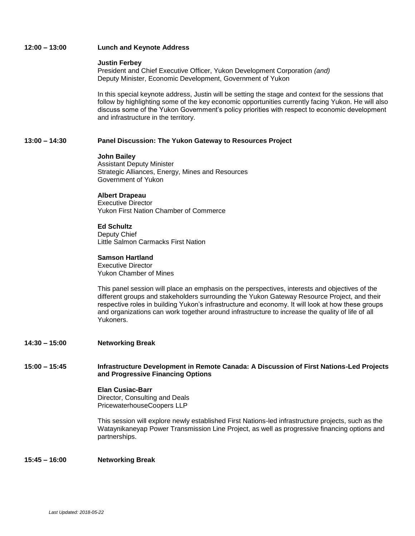#### **12:00 – 13:00 Lunch and Keynote Address**

#### **Justin Ferbey**

President and Chief Executive Officer, Yukon Development Corporation *(and)* Deputy Minister, Economic Development, Government of Yukon

In this special keynote address, Justin will be setting the stage and context for the sessions that follow by highlighting some of the key economic opportunities currently facing Yukon. He will also discuss some of the Yukon Government's policy priorities with respect to economic development and infrastructure in the territory.

#### **13:00 – 14:30 Panel Discussion: The Yukon Gateway to Resources Project**

#### **John Bailey**

Assistant Deputy Minister Strategic Alliances, Energy, Mines and Resources Government of Yukon

#### **Albert Drapeau**

Executive Director Yukon First Nation Chamber of Commerce

#### **Ed Schultz**

Deputy Chief Little Salmon Carmacks First Nation

#### **Samson Hartland**

Executive Director Yukon Chamber of Mines

This panel session will place an emphasis on the perspectives, interests and objectives of the different groups and stakeholders surrounding the Yukon Gateway Resource Project, and their respective roles in building Yukon's infrastructure and economy. It will look at how these groups and organizations can work together around infrastructure to increase the quality of life of all Yukoners.

#### **14:30 – 15:00 Networking Break**

#### **15:00 – 15:45 Infrastructure Development in Remote Canada: A Discussion of First Nations-Led Projects and Progressive Financing Options**

#### **Elan Cusiac-Barr**

Director, Consulting and Deals PricewaterhouseCoopers LLP

This session will explore newly established First Nations-led infrastructure projects, such as the Wataynikaneyap Power Transmission Line Project, as well as progressive financing options and partnerships.

#### **15:45 – 16:00 Networking Break**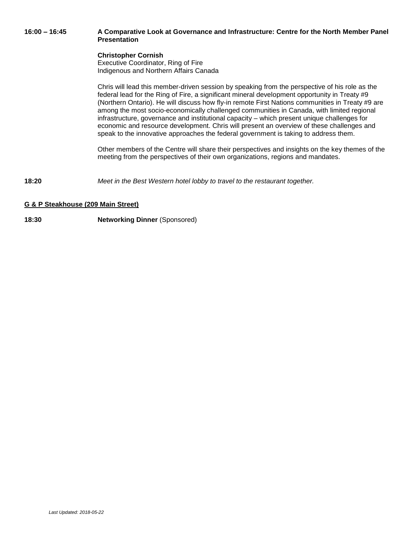#### **16:00 – 16:45 A Comparative Look at Governance and Infrastructure: Centre for the North Member Panel Presentation**

#### **Christopher Cornish**

Executive Coordinator, Ring of Fire Indigenous and Northern Affairs Canada

Chris will lead this member-driven session by speaking from the perspective of his role as the federal lead for the Ring of Fire, a significant mineral development opportunity in Treaty #9 (Northern Ontario). He will discuss how fly-in remote First Nations communities in Treaty #9 are among the most socio-economically challenged communities in Canada, with limited regional infrastructure, governance and institutional capacity – which present unique challenges for economic and resource development. Chris will present an overview of these challenges and speak to the innovative approaches the federal government is taking to address them.

Other members of the Centre will share their perspectives and insights on the key themes of the meeting from the perspectives of their own organizations, regions and mandates.

**18:20** *Meet in the Best Western hotel lobby to travel to the restaurant together.*

#### **G & P Steakhouse (209 Main Street)**

#### **18:30 Networking Dinner** (Sponsored)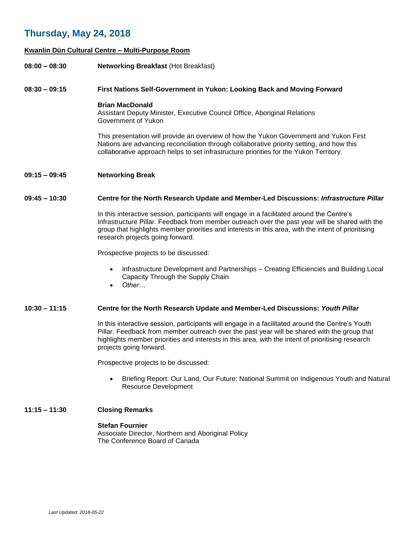### **Thursday, May 24, 2018**

#### **Kwanlin Dün Cultural Centre – Multi-Purpose Room**

**08:00 – 08:30 Networking Breakfast** (Hot Breakfast)

#### **08:30 – 09:15 First Nations Self-Government in Yukon: Looking Back and Moving Forward**

**Brian MacDonald**

Assistant Deputy Minister, Executive Council Office, Aboriginal Relations Government of Yukon

This presentation will provide an overview of how the Yukon Government and Yukon First Nations are advancing reconciliation through collaborative priority setting, and how this collaborative approach helps to set infrastructure priorities for the Yukon Territory.

#### **09:15 – 09:45 Networking Break**

#### **09:45 – 10:30 Centre for the North Research Update and Member-Led Discussions:** *Infrastructure Pillar*

In this interactive session, participants will engage in a facilitated around the Centre's Infrastructure Pillar. Feedback from member outreach over the past year will be shared with the group that highlights member priorities and interests in this area, with the intent of prioritising research projects going forward.

Prospective projects to be discussed:

- Infrastructure Development and Partnerships Creating Efficiencies and Building Local Capacity Through the Supply Chain
- *Other…*

#### **10:30 – 11:15 Centre for the North Research Update and Member-Led Discussions:** *Youth Pillar*

In this interactive session, participants will engage in a facilitated around the Centre's Youth Pillar. Feedback from member outreach over the past year will be shared with the group that highlights member priorities and interests in this area, with the intent of prioritising research projects going forward.

Prospective projects to be discussed:

• Briefing Report: Our Land, Our Future: National Summit on Indigenous Youth and Natural Resource Development

#### **11:15 – 11:30 Closing Remarks**

#### **Stefan Fournier**

Associate Director, Northern and Aboriginal Policy The Conference Board of Canada